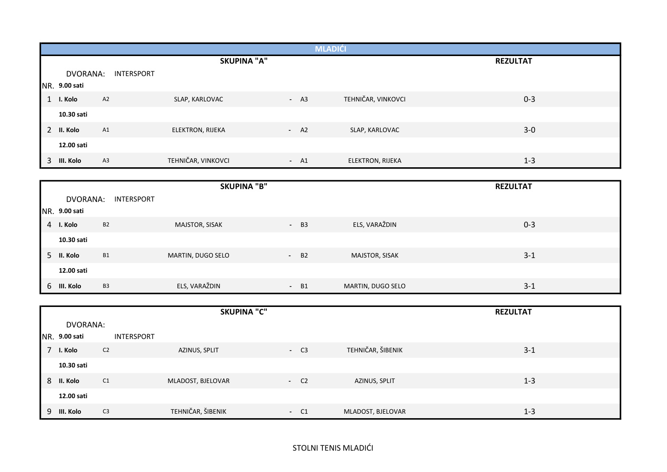|                |               |            |                         |        | <b>MLADIĆI</b>          |                 |
|----------------|---------------|------------|-------------------------|--------|-------------------------|-----------------|
|                |               |            | <b>SKUPINA "A"</b>      |        |                         | <b>REZULTAT</b> |
|                | DVORANA:      | INTERSPORT |                         |        |                         |                 |
|                | NR. 9.00 sati |            |                         |        |                         |                 |
| $\mathbf{1}$   | I. Kolo       | A2         | SLAP, KARLOVAC          | $- A3$ | TEHNIČAR, VINKOVCI      | $0 - 3$         |
|                | 10.30 sati    |            |                         |        |                         |                 |
| $\overline{2}$ | II. Kolo      | A1         | <b>ELEKTRON, RIJEKA</b> | $- A2$ | SLAP, KARLOVAC          | $3-0$           |
|                | 12.00 sati    |            |                         |        |                         |                 |
| 3              | III. Kolo     | A3         | TEHNIČAR, VINKOVCI      | $- A1$ | <b>ELEKTRON, RIJEKA</b> | $1 - 3$         |

|   |               |                | <b>SKUPINA "B"</b> |       |                   | <b>REZULTAT</b> |  |
|---|---------------|----------------|--------------------|-------|-------------------|-----------------|--|
|   | DVORANA:      | INTERSPORT     |                    |       |                   |                 |  |
|   | NR. 9.00 sati |                |                    |       |                   |                 |  |
| 4 | I. Kolo       | <b>B2</b>      | MAJSTOR, SISAK     | $-B3$ | ELS, VARAŽDIN     | $0 - 3$         |  |
|   | 10.30 sati    |                |                    |       |                   |                 |  |
| 5 | II. Kolo      | <b>B1</b>      | MARTIN, DUGO SELO  | $-B2$ | MAJSTOR, SISAK    | $3 - 1$         |  |
|   | 12.00 sati    |                |                    |       |                   |                 |  |
|   | 6 III. Kolo   | B <sub>3</sub> | ELS, VARAŽDIN      | $-B1$ | MARTIN, DUGO SELO | $3 - 1$         |  |

|   |               |                | <b>SKUPINA "C"</b> |       |                   | <b>REZULTAT</b> |  |
|---|---------------|----------------|--------------------|-------|-------------------|-----------------|--|
|   | DVORANA:      |                |                    |       |                   |                 |  |
|   | NR. 9.00 sati | INTERSPORT     |                    |       |                   |                 |  |
|   | I. Kolo       | C <sub>2</sub> | AZINUS, SPLIT      | $-C3$ | TEHNIČAR, ŠIBENIK | $3 - 1$         |  |
|   | 10.30 sati    |                |                    |       |                   |                 |  |
| 8 | II. Kolo      | C1             | MLADOST, BJELOVAR  | $-C2$ | AZINUS, SPLIT     | $1 - 3$         |  |
|   | 12.00 sati    |                |                    |       |                   |                 |  |
|   | 9 III. Kolo   | C <sub>3</sub> | TEHNIČAR, ŠIBENIK  | $-C1$ | MLADOST, BJELOVAR | $1 - 3$         |  |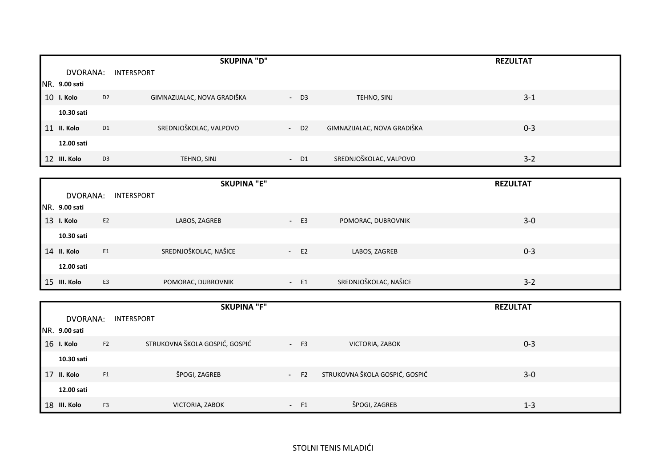|    |                      |                | <b>SKUPINA "D"</b>          |                    |                             | <b>REZULTAT</b> |  |
|----|----------------------|----------------|-----------------------------|--------------------|-----------------------------|-----------------|--|
|    | DVORANA:             |                | INTERSPORT                  |                    |                             |                 |  |
|    | <b>NR. 9.00 sati</b> |                |                             |                    |                             |                 |  |
| 10 | I. Kolo              | D <sub>2</sub> | GIMNAZIJALAC, NOVA GRADIŠKA | $-$ D3             | TEHNO, SINJ                 | $3 - 1$         |  |
|    | 10.30 sati           |                |                             |                    |                             |                 |  |
| 11 | II. Kolo             | D <sub>1</sub> | SREDNJOŠKOLAC, VALPOVO      | $-$ D <sub>2</sub> | GIMNAZIJALAC, NOVA GRADIŠKA | $0 - 3$         |  |
|    | 12.00 sati           |                |                             |                    |                             |                 |  |
|    | 12 III. Kolo         | D <sub>3</sub> | TEHNO, SINJ                 | $-$ D1             | SREDNJOŠKOLAC, VALPOVO      | $3 - 2$         |  |

|               |                   | <b>SKUPINA "E"</b>    |                          |                       | <b>REZULTAT</b> |  |
|---------------|-------------------|-----------------------|--------------------------|-----------------------|-----------------|--|
| DVORANA:      | <b>INTERSPORT</b> |                       |                          |                       |                 |  |
| NR. 9.00 sati |                   |                       |                          |                       |                 |  |
| 13 I. Kolo    | E <sub>2</sub>    | LABOS, ZAGREB         | E <sub>3</sub><br>$\sim$ | POMORAC, DUBROVNIK    | $3-0$           |  |
| 10.30 sati    |                   |                       |                          |                       |                 |  |
| 14 II. Kolo   | E1                | SREDNJOŠKOLAC, NAŠICE | $-E2$                    | LABOS, ZAGREB         | $0 - 3$         |  |
| 12.00 sati    |                   |                       |                          |                       |                 |  |
| 15 III. Kolo  | E <sub>3</sub>    | POMORAC, DUBROVNIK    | $- E1$                   | SREDNJOŠKOLAC, NAŠICE | $3 - 2$         |  |

|                       |                | <b>SKUPINA "F"</b>             |        |                                | <b>REZULTAT</b> |  |
|-----------------------|----------------|--------------------------------|--------|--------------------------------|-----------------|--|
| DVORANA:              |                | INTERSPORT                     |        |                                |                 |  |
| <b>INR. 9.00 sati</b> |                |                                |        |                                |                 |  |
| 16 I. Kolo            | F <sub>2</sub> | STRUKOVNA ŠKOLA GOSPIĆ, GOSPIĆ | $- F3$ | VICTORIA, ZABOK                | $0 - 3$         |  |
| 10.30 sati            |                |                                |        |                                |                 |  |
| 17 II. Kolo           | F1             | ŠPOGI, ZAGREB                  | $-F2$  | STRUKOVNA ŠKOLA GOSPIĆ, GOSPIĆ | $3-0$           |  |
| 12.00 sati            |                |                                |        |                                |                 |  |
| 18 III. Kolo          | F <sub>3</sub> | VICTORIA, ZABOK                | $- F1$ | ŠPOGI, ZAGREB                  | $1 - 3$         |  |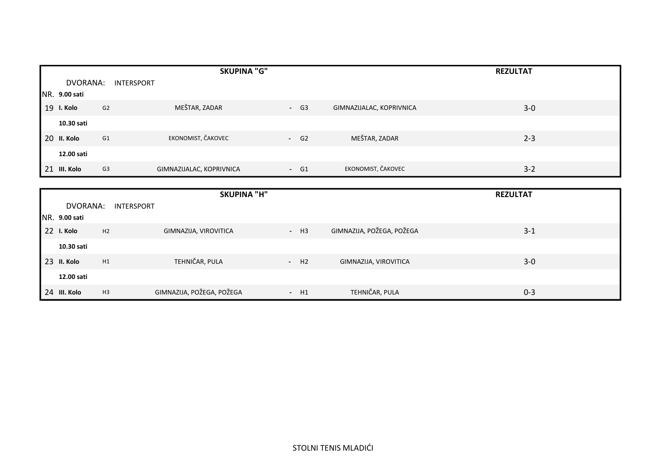|    |               |            | <b>SKUPINA "G"</b>       |        |                          | <b>REZULTAT</b> |  |
|----|---------------|------------|--------------------------|--------|--------------------------|-----------------|--|
|    | DVORANA:      | INTERSPORT |                          |        |                          |                 |  |
|    | NR. 9.00 sati |            |                          |        |                          |                 |  |
| 19 | I. Kolo       | G2         | MEŠTAR, ZADAR            | $- G3$ | GIMNAZIJALAC, KOPRIVNICA | $3-0$           |  |
|    | 10.30 sati    |            |                          |        |                          |                 |  |
|    | 20 II. Kolo   | G1         | EKONOMIST, ČAKOVEC       | $- G2$ | MEŠTAR, ZADAR            | $2 - 3$         |  |
|    | 12.00 sati    |            |                          |        |                          |                 |  |
|    | 21 III. Kolo  | G3         | GIMNAZIJALAC, KOPRIVNICA | $- G1$ | EKONOMIST, ČAKOVEC       | $3 - 2$         |  |

|                      |                   | <b>SKUPINA "H"</b>        |        |                           | <b>REZULTAT</b> |  |
|----------------------|-------------------|---------------------------|--------|---------------------------|-----------------|--|
| DVORANA:             | <b>INTERSPORT</b> |                           |        |                           |                 |  |
| <b>NR. 9.00 sati</b> |                   |                           |        |                           |                 |  |
| 22 I. Kolo           | H2                | GIMNAZIJA, VIROVITICA     | $- H3$ | GIMNAZIJA, POŽEGA, POŽEGA | $3 - 1$         |  |
| 10.30 sati           |                   |                           |        |                           |                 |  |
| 23 II. Kolo          | H1                | TEHNIČAR, PULA            | $- H2$ | GIMNAZIJA, VIROVITICA     | $3-0$           |  |
| 12.00 sati           |                   |                           |        |                           |                 |  |
| 24 III. Kolo         | H3                | GIMNAZIJA, POŽEGA, POŽEGA | $- H1$ | TEHNIČAR, PULA            | $0 - 3$         |  |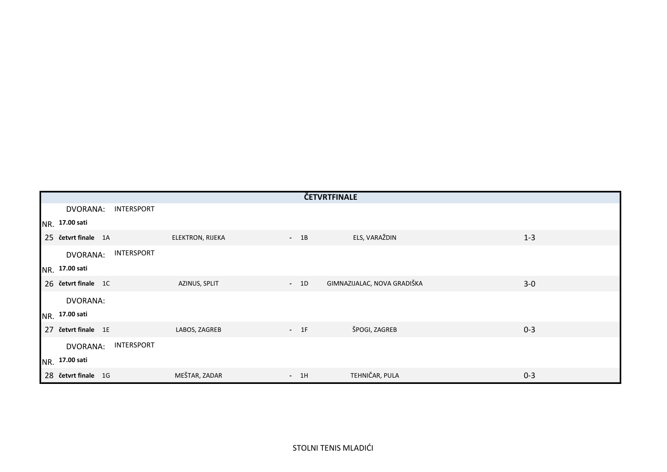|                                      |                  | ČETVRTFINALE |                             |         |
|--------------------------------------|------------------|--------------|-----------------------------|---------|
| DVORANA:<br>INTERSPORT               |                  |              |                             |         |
| NR. 17.00 sati                       |                  |              |                             |         |
| 25 četvrt finale 1A                  | ELEKTRON, RIJEKA | $-1B$        | ELS, VARAŽDIN               | $1 - 3$ |
| <b>INTERSPORT</b><br><b>DVORANA:</b> |                  |              |                             |         |
| NR. 17.00 sati                       |                  |              |                             |         |
| 26 četvrt finale 1C                  | AZINUS, SPLIT    | $-1D$        | GIMNAZIJALAC, NOVA GRADIŠKA | $3-0$   |
| DVORANA:                             |                  |              |                             |         |
| NR. 17.00 sati                       |                  |              |                             |         |
| 27 četvrt finale 1E                  | LABOS, ZAGREB    | $-1F$        | ŠPOGI, ZAGREB               | $0 - 3$ |
| INTERSPORT<br><b>DVORANA:</b>        |                  |              |                             |         |
| NR. 17.00 sati                       |                  |              |                             |         |
| 28 četvrt finale 1G                  | MEŠTAR, ZADAR    | $-1H$        | TEHNIČAR, PULA              | $0 - 3$ |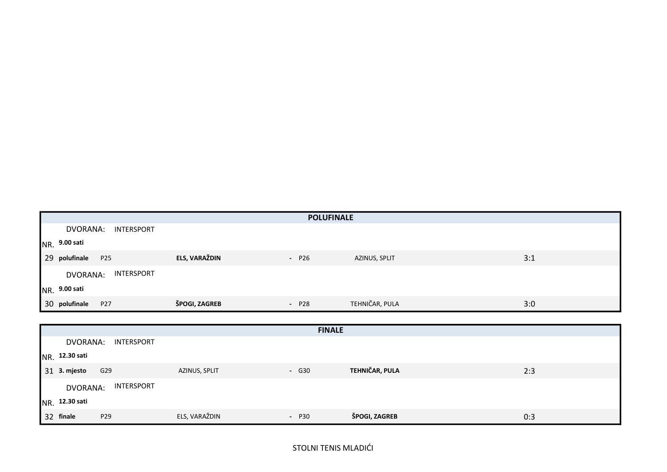|                               |               | <b>POLUFINALE</b> |                |     |
|-------------------------------|---------------|-------------------|----------------|-----|
| DVORANA:<br>INTERSPORT        |               |                   |                |     |
| NR. 9.00 sati                 |               |                   |                |     |
| 29 polufinale<br>P25          | ELS, VARAŽDIN | $- P26$           | AZINUS, SPLIT  | 3:1 |
| INTERSPORT<br><b>DVORANA:</b> |               |                   |                |     |
| NR. 9.00 sati                 |               |                   |                |     |
| 30 polufinale<br>P27          | ŠPOGI, ZAGREB | $- P28$           | TEHNIČAR, PULA | 3:0 |

|                 |                 |               | <b>FINALE</b> |                |     |
|-----------------|-----------------|---------------|---------------|----------------|-----|
| DVORANA:        | INTERSPORT      |               |               |                |     |
| NR. 12.30 sati  |                 |               |               |                |     |
| 31 3. mjesto    | G29             | AZINUS, SPLIT | $-$ G30       | TEHNIČAR, PULA | 2:3 |
| <b>DVORANA:</b> | INTERSPORT      |               |               |                |     |
| NR. 12.30 sati  |                 |               |               |                |     |
| 32 finale       | P <sub>29</sub> | ELS, VARAŽDIN | $- P30$       | ŠPOGI, ZAGREB  | 0:3 |